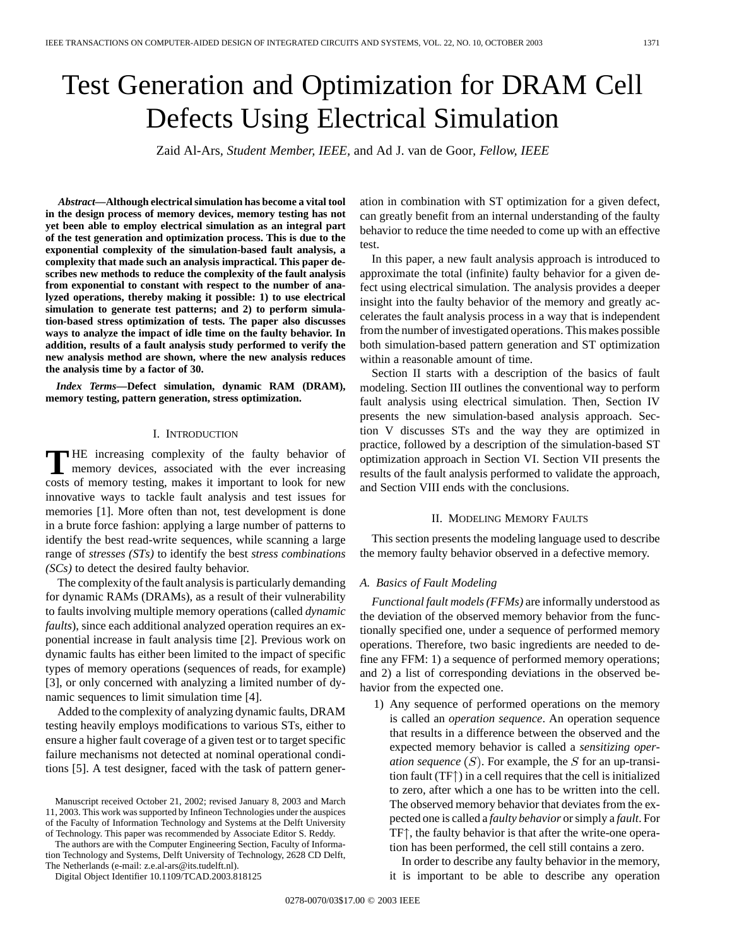# Test Generation and Optimization for DRAM Cell Defects Using Electrical Simulation

Zaid Al-Ars*, Student Member, IEEE,* and Ad J. van de Goor*, Fellow, IEEE*

*Abstract—***Although electrical simulation has become a vital tool in the design process of memory devices, memory testing has not yet been able to employ electrical simulation as an integral part of the test generation and optimization process. This is due to the exponential complexity of the simulation-based fault analysis, a complexity that made such an analysis impractical. This paper describes new methods to reduce the complexity of the fault analysis from exponential to constant with respect to the number of analyzed operations, thereby making it possible: 1) to use electrical simulation to generate test patterns; and 2) to perform simulation-based stress optimization of tests. The paper also discusses ways to analyze the impact of idle time on the faulty behavior. In addition, results of a fault analysis study performed to verify the new analysis method are shown, where the new analysis reduces the analysis time by a factor of 30.**

*Index Terms—***Defect simulation, dynamic RAM (DRAM), memory testing, pattern generation, stress optimization.**

# I. INTRODUCTION

**T** HE increasing complexity of the faulty behavior of memory devices, associated with the ever increasing costs of memory testing, makes it important to look for new innovative ways to tackle fault analysis and test issues for memories [1]. More often than not, test development is done in a brute force fashion: applying a large number of patterns to identify the best read-write sequences, while scanning a large range of *stresses (STs)* to identify the best *stress combinations (SCs)* to detect the desired faulty behavior.

The complexity of the fault analysis is particularly demanding for dynamic RAMs (DRAMs), as a result of their vulnerability to faults involving multiple memory operations (called *dynamic faults*), since each additional analyzed operation requires an exponential increase in fault analysis time [2]. Previous work on dynamic faults has either been limited to the impact of specific types of memory operations (sequences of reads, for example) [3], or only concerned with analyzing a limited number of dynamic sequences to limit simulation time [4].

Added to the complexity of analyzing dynamic faults, DRAM testing heavily employs modifications to various STs, either to ensure a higher fault coverage of a given test or to target specific failure mechanisms not detected at nominal operational conditions [5]. A test designer, faced with the task of pattern gener-

The authors are with the Computer Engineering Section, Faculty of Information Technology and Systems, Delft University of Technology, 2628 CD Delft, The Netherlands (e-mail: z.e.al-ars@its.tudelft.nl).

Digital Object Identifier 10.1109/TCAD.2003.818125

ation in combination with ST optimization for a given defect, can greatly benefit from an internal understanding of the faulty behavior to reduce the time needed to come up with an effective test.

In this paper, a new fault analysis approach is introduced to approximate the total (infinite) faulty behavior for a given defect using electrical simulation. The analysis provides a deeper insight into the faulty behavior of the memory and greatly accelerates the fault analysis process in a way that is independent from the number of investigated operations. This makes possible both simulation-based pattern generation and ST optimization within a reasonable amount of time.

Section II starts with a description of the basics of fault modeling. Section III outlines the conventional way to perform fault analysis using electrical simulation. Then, Section IV presents the new simulation-based analysis approach. Section V discusses STs and the way they are optimized in practice, followed by a description of the simulation-based ST optimization approach in Section VI. Section VII presents the results of the fault analysis performed to validate the approach, and Section VIII ends with the conclusions.

# II. MODELING MEMORY FAULTS

This section presents the modeling language used to describe the memory faulty behavior observed in a defective memory.

# *A. Basics of Fault Modeling*

*Functional fault models (FFMs)* are informally understood as the deviation of the observed memory behavior from the functionally specified one, under a sequence of performed memory operations. Therefore, two basic ingredients are needed to define any FFM: 1) a sequence of performed memory operations; and 2) a list of corresponding deviations in the observed behavior from the expected one.

1) Any sequence of performed operations on the memory is called an *operation sequence*. An operation sequence that results in a difference between the observed and the expected memory behavior is called a *sensitizing operation sequence*  $(S)$ . For example, the S for an up-transition fault  $(TF<sup>†</sup>)$  in a cell requires that the cell is initialized to zero, after which a one has to be written into the cell. The observed memory behavior that deviates from the expected one is called a *faulty behavior* or simply a *fault*. For  $TF<sup>†</sup>$ , the faulty behavior is that after the write-one operation has been performed, the cell still contains a zero.

In order to describe any faulty behavior in the memory, it is important to be able to describe any operation

Manuscript received October 21, 2002; revised January 8, 2003 and March 11, 2003. This work was supported by Infineon Technologies under the auspices of the Faculty of Information Technology and Systems at the Delft University of Technology. This paper was recommended by Associate Editor S. Reddy.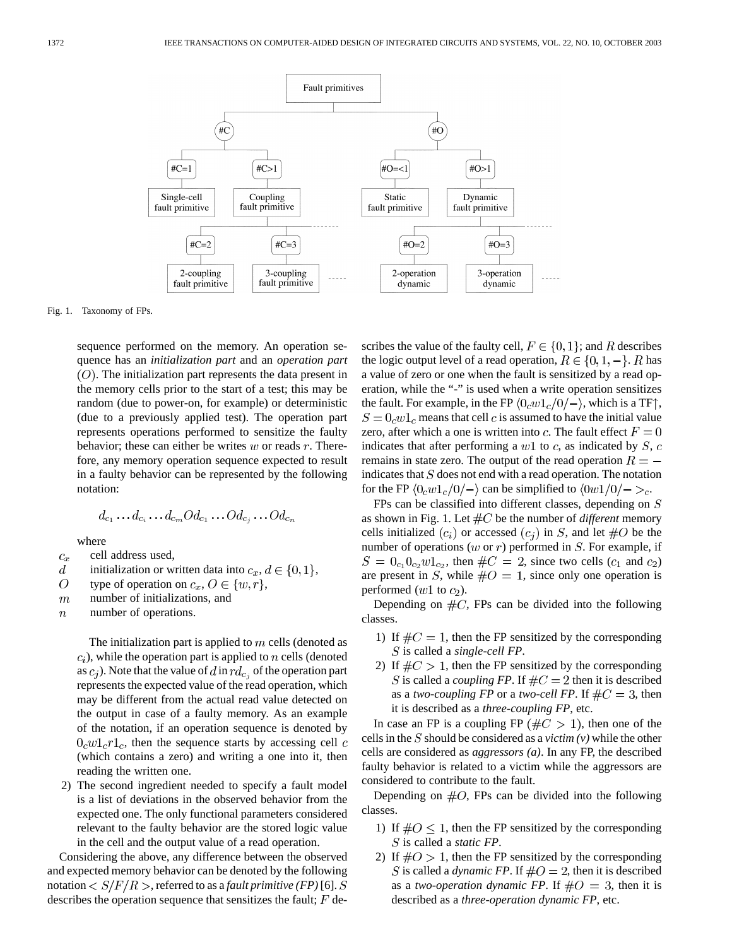

Fig. 1. Taxonomy of FPs.

sequence performed on the memory. An operation sequence has an *initialization part* and an *operation part*  $(O)$ . The initialization part represents the data present in the memory cells prior to the start of a test; this may be random (due to power-on, for example) or deterministic (due to a previously applied test). The operation part represents operations performed to sensitize the faulty behavior; these can either be writes  $w$  or reads  $r$ . Therefore, any memory operation sequence expected to result in a faulty behavior can be represented by the following notation:

$$
d_{c_1}\ldots d_{c_i}\ldots d_{c_m}Od_{c_1}\ldots Od_{c_i}\ldots Od_{c_n}
$$

where

- cell address used,  $\mathfrak{C}_x$
- initialization or written data into  $c_x, d \in \{0, 1\},$  $\boldsymbol{d}$
- $\overline{O}$ type of operation on  $c_x, O \in \{w, r\},\$
- $\overline{m}$ number of initializations, and
- number of operations.  $\boldsymbol{n}$

The initialization part is applied to  $m$  cells (denoted as  $(c<sub>i</sub>)$ , while the operation part is applied to n cells (denoted as  $c_i$ ). Note that the value of d in  $rd_{c_i}$  of the operation part represents the expected value of the read operation, which may be different from the actual read value detected on the output in case of a faulty memory. As an example of the notation, if an operation sequence is denoted by  $0_c w 1_c r 1_c$ , then the sequence starts by accessing cell c (which contains a zero) and writing a one into it, then reading the written one.

2) The second ingredient needed to specify a fault model is a list of deviations in the observed behavior from the expected one. The only functional parameters considered relevant to the faulty behavior are the stored logic value in the cell and the output value of a read operation.

Considering the above, any difference between the observed and expected memory behavior can be denoted by the following notation  $\langle S/F/R \rangle$ , referred to as a *fault primitive (FP)* [6]. S describes the operation sequence that sensitizes the fault;  $F$  describes the value of the faulty cell,  $F \in \{0, 1\}$ ; and R describes the logic output level of a read operation,  $R \in \{0, 1, -\}$ . R has a value of zero or one when the fault is sensitized by a read operation, while the "-" is used when a write operation sensitizes the fault. For example, in the FP  $\langle 0_c w 1_c/0/- \rangle$ , which is a TF $\uparrow$ ,  $S = 0<sub>c</sub> w 1<sub>c</sub>$  means that cell c is assumed to have the initial value zero, after which a one is written into c. The fault effect  $F = 0$ indicates that after performing a  $w1$  to c, as indicated by S, c remains in state zero. The output of the read operation  $R =$ indicates that  $S$  does not end with a read operation. The notation for the FP  $\langle 0_c w 1_c/0 \rangle$  can be simplified to  $\langle 0w 1/0 \rangle$  -  $\rangle_c$ .

FPs can be classified into different classes, depending on  $S$ as shown in Fig. 1. Let  $\#C$  be the number of *different* memory cells initialized  $(c_i)$  or accessed  $(c_i)$  in S, and let  $\#O$  be the number of operations ( $w$  or  $r$ ) performed in  $S$ . For example, if  $S = 0_{c_1}0_{c_2}w1_{c_2}$ , then  $\#C = 2$ , since two cells  $(c_1$  and  $c_2$ ) are present in S, while  $\#O = 1$ , since only one operation is performed  $(w1$  to  $c_2$ ).

Depending on  $\#C$ , FPs can be divided into the following classes.

- 1) If  $\#C = 1$ , then the FP sensitized by the corresponding S is called a *single-cell FP*.
- 2) If  $\#C > 1$ , then the FP sensitized by the corresponding S is called a *coupling FP*. If  $\#C = 2$  then it is described as a *two-coupling FP* or a *two-cell FP*. If  $\#C = 3$ , then it is described as a *three-coupling FP*, etc.

In case an FP is a coupling FP ( $\#C > 1$ ), then one of the cells in the S should be considered as a *victim*  $(v)$  while the other cells are considered as *aggressors (a)*. In any FP, the described faulty behavior is related to a victim while the aggressors are considered to contribute to the fault.

Depending on  $#O$ , FPs can be divided into the following classes.

- 1) If  $\#O \leq 1$ , then the FP sensitized by the corresponding is called a *static FP*.
- 2) If  $\#O > 1$ , then the FP sensitized by the corresponding S is called a *dynamic FP*. If  $\#O = 2$ , then it is described as a *two-operation dynamic FP*. If  $\#O = 3$ , then it is described as a *three-operation dynamic FP*, etc.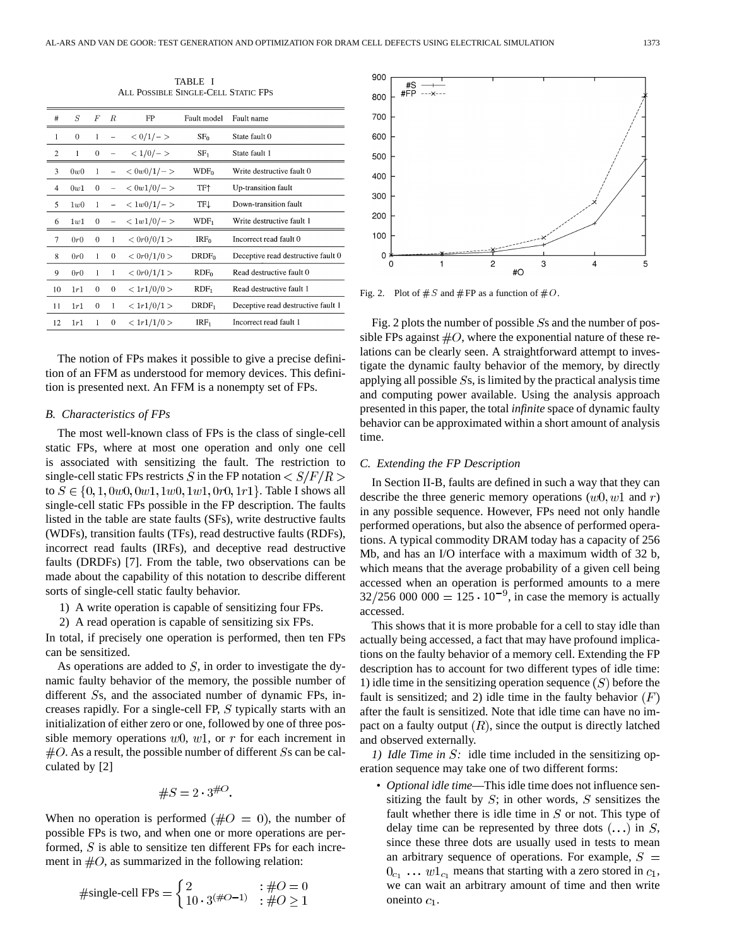TABLE I ALL POSSIBLE SINGLE-CELL STATIC FPS

| #              | S            | F                | R             | FP                        | Fault model       | Fault name                         |
|----------------|--------------|------------------|---------------|---------------------------|-------------------|------------------------------------|
| 1              | $\mathbf{0}$ | 1                |               | $< 0/1/-$                 | SF <sub>0</sub>   | State fault 0                      |
| $\overline{2}$ | 1            | $\boldsymbol{0}$ |               | $< 1/0/-$                 | SF <sub>1</sub>   | State fault 1                      |
| 3              | 0w0          | 1                |               | $< 0w0/1/-$               | WDF <sub>0</sub>  | Write destructive fault 0          |
| 4              | 0w1          | $\theta$         | $\frac{1}{2}$ | $< 0w1/0 / -$             | TF†               | Up-transition fault                |
| 5              | 1w0          | 1                |               | $< 1w0/1/-$               | TFL               | Down-transition fault              |
| 6              | 1w1          | 0                |               | $< 1w1/0/-$               | WDF <sub>1</sub>  | Write destructive fault 1          |
| 7              | 0r0          | $\theta$         | 1             | < 0r0/0/1 >               | IRF <sub>0</sub>  | Incorrect read fault 0             |
| 8              | 0r0          | 1                | $\mathbf{0}$  | $<\frac{0r0}{1/0}$        | DRDF <sub>0</sub> | Deceptive read destructive fault 0 |
| 9              | 0r0          | 1                | 1             | $<\frac{0r0}{1/1}>$       | RDF <sub>0</sub>  | Read destructive fault 0           |
| 10             | 1r1          | 0                | 0             | < 1r1/0/0 >               | RDF <sub>1</sub>  | Read destructive fault 1           |
| 11             | 1r1          | $\bf{0}$         | 1             | < 1r1/0/1 >               | DRDF <sub>1</sub> | Deceptive read destructive fault 1 |
| 12             | 1r1          | 1                | $\theta$      | $\langle 1r1/1/0 \rangle$ | IRF <sub>1</sub>  | Incorrect read fault 1             |

The notion of FPs makes it possible to give a precise definition of an FFM as understood for memory devices. This definition is presented next. An FFM is a nonempty set of FPs.

#### *B. Characteristics of FPs*

The most well-known class of FPs is the class of single-cell static FPs, where at most one operation and only one cell is associated with sensitizing the fault. The restriction to single-cell static FPs restricts S in the FP notation  $\langle S/F/R \rangle$ to  $S \in \{0, 1, 0w0, 0w1, 1w0, 1w1, 0r0, 1r1\}$ . Table I shows all single-cell static FPs possible in the FP description. The faults listed in the table are state faults (SFs), write destructive faults (WDFs), transition faults (TFs), read destructive faults (RDFs), incorrect read faults (IRFs), and deceptive read destructive faults (DRDFs) [7]. From the table, two observations can be made about the capability of this notation to describe different sorts of single-cell static faulty behavior.

1) A write operation is capable of sensitizing four FPs.

2) A read operation is capable of sensitizing six FPs.

In total, if precisely one operation is performed, then ten FPs can be sensitized.

As operations are added to  $S$ , in order to investigate the dynamic faulty behavior of the memory, the possible number of different  $S_s$ , and the associated number of dynamic FPs, increases rapidly. For a single-cell FP,  $S$  typically starts with an initialization of either zero or one, followed by one of three possible memory operations  $w0$ ,  $w1$ , or r for each increment in  $#O$ . As a result, the possible number of different Ss can be calculated by [2]

$$
\#S = 2 \cdot 3^{\#O}.
$$

When no operation is performed ( $#O = 0$ ), the number of possible FPs is two, and when one or more operations are performed,  $S$  is able to sensitize ten different FPs for each increment in  $#O$ , as summarized in the following relation:

$$
\#\text{single-cell FPs} = \begin{cases} 2 & \text{if } \theta = 0\\ 10 \cdot 3^{(\#O-1)} & \text{if } \theta \ge 1 \end{cases}
$$



Fig. 2. Plot of  $#S$  and  $#FP$  as a function of  $#O$ .

Fig. 2 plots the number of possible  $S_s$  and the number of possible FPs against  $\#O$ , where the exponential nature of these relations can be clearly seen. A straightforward attempt to investigate the dynamic faulty behavior of the memory, by directly applying all possible  $S_s$ , is limited by the practical analysis time and computing power available. Using the analysis approach presented in this paper, the total *infinite* space of dynamic faulty behavior can be approximated within a short amount of analysis time.

#### *C. Extending the FP Description*

In Section II-B, faults are defined in such a way that they can describe the three generic memory operations  $(w0, w1$  and r) in any possible sequence. However, FPs need not only handle performed operations, but also the absence of performed operations. A typical commodity DRAM today has a capacity of 256 Mb, and has an I/O interface with a maximum width of 32 b, which means that the average probability of a given cell being accessed when an operation is performed amounts to a mere  $32/256\,000\,000 = 125 \cdot 10^{-9}$ , in case the memory is actually accessed.

This shows that it is more probable for a cell to stay idle than actually being accessed, a fact that may have profound implications on the faulty behavior of a memory cell. Extending the FP description has to account for two different types of idle time: 1) idle time in the sensitizing operation sequence  $(S)$  before the fault is sensitized; and 2) idle time in the faulty behavior  $(F)$ after the fault is sensitized. Note that idle time can have no impact on a faulty output  $(R)$ , since the output is directly latched and observed externally.

*1) Idle Time in S*: idle time included in the sensitizing operation sequence may take one of two different forms:

• *Optional idle time*—This idle time does not influence sensitizing the fault by  $S$ ; in other words,  $S$  sensitizes the fault whether there is idle time in  $S$  or not. This type of delay time can be represented by three dots  $(\ldots)$  in S, since these three dots are usually used in tests to mean an arbitrary sequence of operations. For example,  $S =$  $0_{c_1}$  ...  $w1_{c_1}$  means that starting with a zero stored in  $c_1$ , we can wait an arbitrary amount of time and then write oneinto  $c_1$ .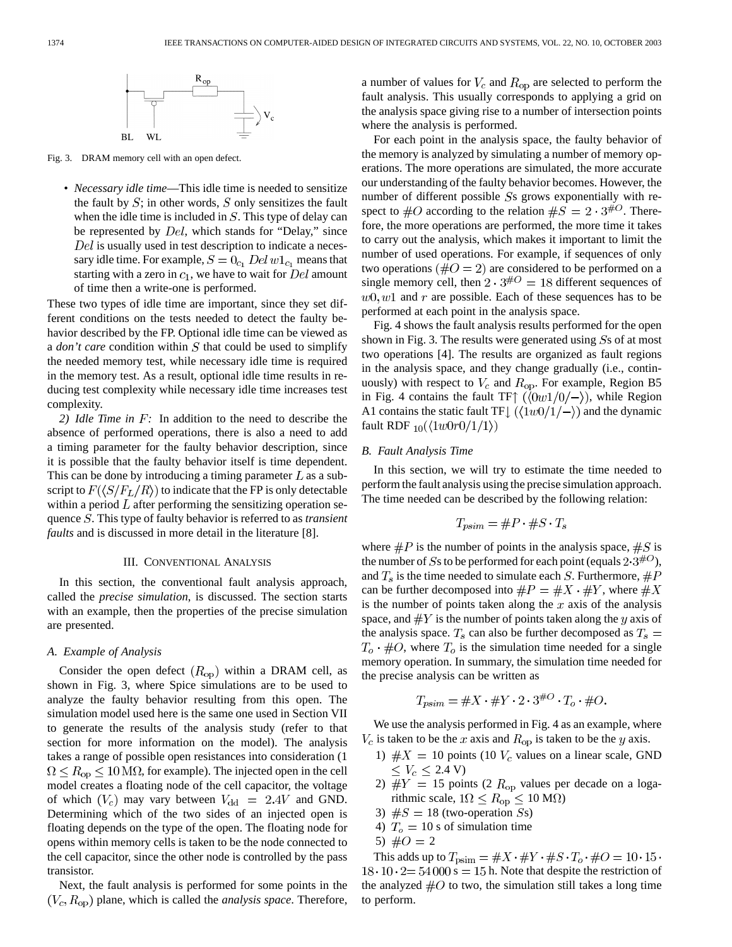

Fig. 3. DRAM memory cell with an open defect.

• *Necessary idle time*—This idle time is needed to sensitize the fault by  $S$ ; in other words,  $S$  only sensitizes the fault when the idle time is included in  $S$ . This type of delay can be represented by  $Del$ , which stands for "Delay," since  $Del$  is usually used in test description to indicate a necessary idle time. For example,  $S = 0_{c_1}$  Del  $w1_{c_1}$  means that starting with a zero in  $c_1$ , we have to wait for  $Del$  amount of time then a write-one is performed.

These two types of idle time are important, since they set different conditions on the tests needed to detect the faulty behavior described by the FP. Optional idle time can be viewed as a *don't care* condition within S that could be used to simplify the needed memory test, while necessary idle time is required in the memory test. As a result, optional idle time results in reducing test complexity while necessary idle time increases test complexity.

*2) Idle Time in*  $F$ : In addition to the need to describe the absence of performed operations, there is also a need to add a timing parameter for the faulty behavior description, since it is possible that the faulty behavior itself is time dependent. This can be done by introducing a timing parameter  $L$  as a subscript to  $F(\langle S/F_L/R \rangle)$  to indicate that the FP is only detectable within a period  $L$  after performing the sensitizing operation sequence *S*. This type of faulty behavior is referred to as *transient faults* and is discussed in more detail in the literature [8].

#### III. CONVENTIONAL ANALYSIS

In this section, the conventional fault analysis approach, called the *precise simulation*, is discussed. The section starts with an example, then the properties of the precise simulation are presented.

# *A. Example of Analysis*

Consider the open defect  $(R_{op})$  within a DRAM cell, as shown in Fig. 3, where Spice simulations are to be used to analyze the faulty behavior resulting from this open. The simulation model used here is the same one used in Section VII to generate the results of the analysis study (refer to that section for more information on the model). The analysis takes a range of possible open resistances into consideration (1  $\Omega \le R_{\rm op} \le 10 \,\text{M}\Omega$ , for example). The injected open in the cell model creates a floating node of the cell capacitor, the voltage of which  $(V_c)$  may vary between  $V_{dd} = 2.4V$  and GND. Determining which of the two sides of an injected open is floating depends on the type of the open. The floating node for opens within memory cells is taken to be the node connected to the cell capacitor, since the other node is controlled by the pass transistor.

Next, the fault analysis is performed for some points in the  $(V_c, R_{op})$  plane, which is called the *analysis space*. Therefore, a number of values for  $V_c$  and  $R_{op}$  are selected to perform the fault analysis. This usually corresponds to applying a grid on the analysis space giving rise to a number of intersection points where the analysis is performed.

For each point in the analysis space, the faulty behavior of the memory is analyzed by simulating a number of memory operations. The more operations are simulated, the more accurate our understanding of the faulty behavior becomes. However, the number of different possible  $S$ s grows exponentially with respect to  $\#O$  according to the relation  $\#S = 2 \cdot 3^{\#O}$ . Therefore, the more operations are performed, the more time it takes to carry out the analysis, which makes it important to limit the number of used operations. For example, if sequences of only two operations ( $\#O = 2$ ) are considered to be performed on a single memory cell, then  $2 \cdot 3^{\#O} = 18$  different sequences of  $w0, w1$  and r are possible. Each of these sequences has to be performed at each point in the analysis space.

Fig. 4 shows the fault analysis results performed for the open shown in Fig. 3. The results were generated using  $S<sub>s</sub>$  of at most two operations [4]. The results are organized as fault regions in the analysis space, and they change gradually (i.e., continuously) with respect to  $V_c$  and  $R_{op}$ . For example, Region B5 in Fig. 4 contains the fault TF $\uparrow$  ( $\langle 0w1/0/- \rangle$ ), while Region A1 contains the static fault TF $\lfloor$  ( $\langle 1w0/1/\rightarrow \rangle$ ) and the dynamic fault RDF  $_{10}(\langle 1w0r0/1/1 \rangle)$ 

# *B. Fault Analysis Time*

In this section, we will try to estimate the time needed to perform the fault analysis using the precise simulation approach. The time needed can be described by the following relation:

$$
T_{psim} = \#P \cdot \#S \cdot T_s
$$

where  $\#P$  is the number of points in the analysis space,  $\#S$  is the number of Ss to be performed for each point (equals  $2.3^{\#O}$ ), and  $T_s$  is the time needed to simulate each S. Furthermore,  $\#P$ can be further decomposed into  $\#P = \#X \cdot \#Y$ , where  $\#X$ is the number of points taken along the  $x$  axis of the analysis space, and  $\#Y$  is the number of points taken along the y axis of the analysis space.  $T_s$  can also be further decomposed as  $T_s$  =  $T<sub>o</sub> \cdot #O$ , where  $T<sub>o</sub>$  is the simulation time needed for a single memory operation. In summary, the simulation time needed for the precise analysis can be written as

$$
T_{\text{psim}} = \#X \cdot \#Y \cdot 2 \cdot 3^{\#O} \cdot T_o \cdot \#O.
$$

We use the analysis performed in Fig. 4 as an example, where  $V_c$  is taken to be the x axis and  $R_{op}$  is taken to be the y axis.

- 1)  $#X = 10$  points (10  $V_c$  values on a linear scale, GND  $\leq V_c \leq 2.4$  V)
- 2)  $\#Y = 15$  points (2  $R_{op}$  values per decade on a logarithmic scale,  $1\Omega \le R_{\rm op} \le 10 \,\rm M\Omega$
- 3)  $\#S = 18$  (two-operation Ss)
- 4)  $T<sub>o</sub> = 10$  s of simulation time
- 5)  $\#O = 2$

This adds up to  $T_{\text{psim}} = \#X \cdot \#Y \cdot \#S \cdot T_o \cdot \#O = 10 \cdot 15 \cdot$  $18 \cdot 10 \cdot 2 = 54000$  s = 15 h. Note that despite the restriction of the analyzed  $#O$  to two, the simulation still takes a long time to perform.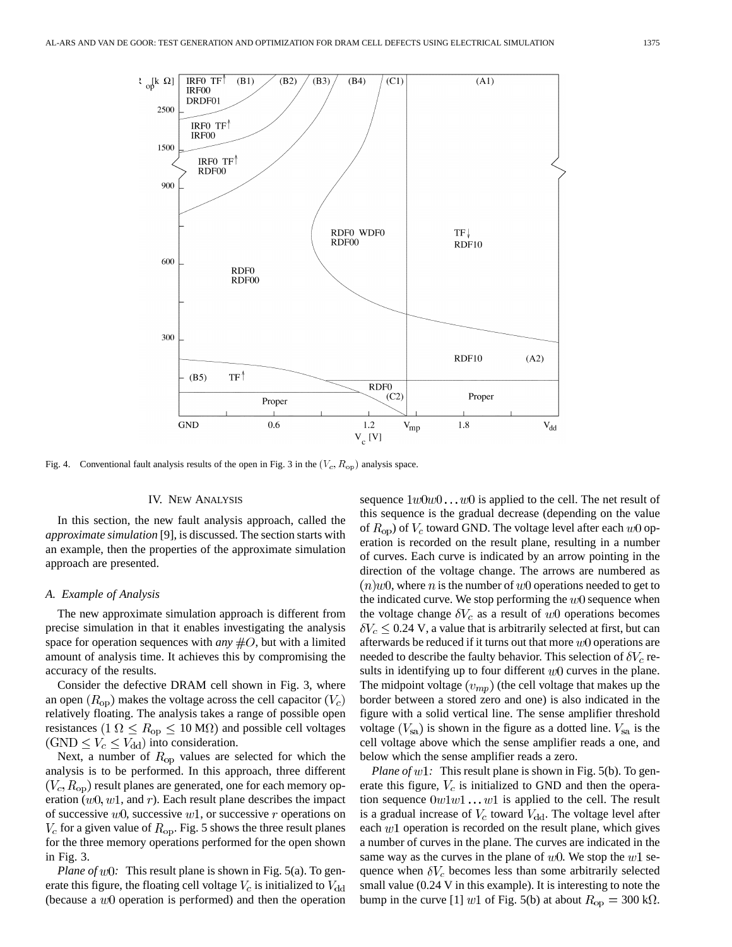

Fig. 4. Conventional fault analysis results of the open in Fig. 3 in the  $(V_c, R_{op})$  analysis space.

# IV. NEW ANALYSIS

In this section, the new fault analysis approach, called the *approximate simulation* [9], is discussed. The section starts with an example, then the properties of the approximate simulation approach are presented.

#### *A. Example of Analysis*

The new approximate simulation approach is different from precise simulation in that it enables investigating the analysis space for operation sequences with *any*  $#O$ , but with a limited amount of analysis time. It achieves this by compromising the accuracy of the results.

Consider the defective DRAM cell shown in Fig. 3, where an open  $(R_{\rm on})$  makes the voltage across the cell capacitor  $(V_c)$ relatively floating. The analysis takes a range of possible open resistances  $(1 \Omega \le R_{op} \le 10 \text{ M}\Omega)$  and possible cell voltages  $(GND \leq V_c \leq V_{dd})$  into consideration.

Next, a number of  $R_{op}$  values are selected for which the analysis is to be performed. In this approach, three different  $(V_c, R_{op})$  result planes are generated, one for each memory operation  $(w0, w1,$  and r). Each result plane describes the impact of successive  $w0$ , successive  $w1$ , or successive r operations on  $V_c$  for a given value of  $R_{op}$ . Fig. 5 shows the three result planes for the three memory operations performed for the open shown in Fig. 3.

*Plane of*  $w0$ : This result plane is shown in Fig. 5(a). To generate this figure, the floating cell voltage  $V_c$  is initialized to  $V_{dd}$ (because a  $w0$  operation is performed) and then the operation sequence  $1w0w0...w0$  is applied to the cell. The net result of this sequence is the gradual decrease (depending on the value of  $R_{op}$ ) of  $V_c$  toward GND. The voltage level after each  $w0$  operation is recorded on the result plane, resulting in a number of curves. Each curve is indicated by an arrow pointing in the direction of the voltage change. The arrows are numbered as  $(n)$ w0, where n is the number of w0 operations needed to get to the indicated curve. We stop performing the  $w0$  sequence when the voltage change  $\delta V_c$  as a result of  $w0$  operations becomes  $\delta V_c \leq 0.24$  V, a value that is arbitrarily selected at first, but can afterwards be reduced if it turns out that more  $w0$  operations are needed to describe the faulty behavior. This selection of  $\delta V_c$  results in identifying up to four different  $w0$  curves in the plane. The midpoint voltage  $(v_{mp})$  (the cell voltage that makes up the border between a stored zero and one) is also indicated in the figure with a solid vertical line. The sense amplifier threshold voltage  $(V_{sa})$  is shown in the figure as a dotted line.  $V_{sa}$  is the cell voltage above which the sense amplifier reads a one, and below which the sense amplifier reads a zero.

*Plane of*  $w1$ : This result plane is shown in Fig. 5(b). To generate this figure,  $V_c$  is initialized to GND and then the operation sequence  $0w1w1 \dots w1$  is applied to the cell. The result is a gradual increase of  $V_c$  toward  $V_{dd}$ . The voltage level after each  $w1$  operation is recorded on the result plane, which gives a number of curves in the plane. The curves are indicated in the same way as the curves in the plane of  $w0$ . We stop the  $w1$  sequence when  $\delta V_c$  becomes less than some arbitrarily selected small value (0.24 V in this example). It is interesting to note the bump in the curve [1]  $w1$  of Fig. 5(b) at about  $R_{op} = 300 \text{ k}\Omega$ .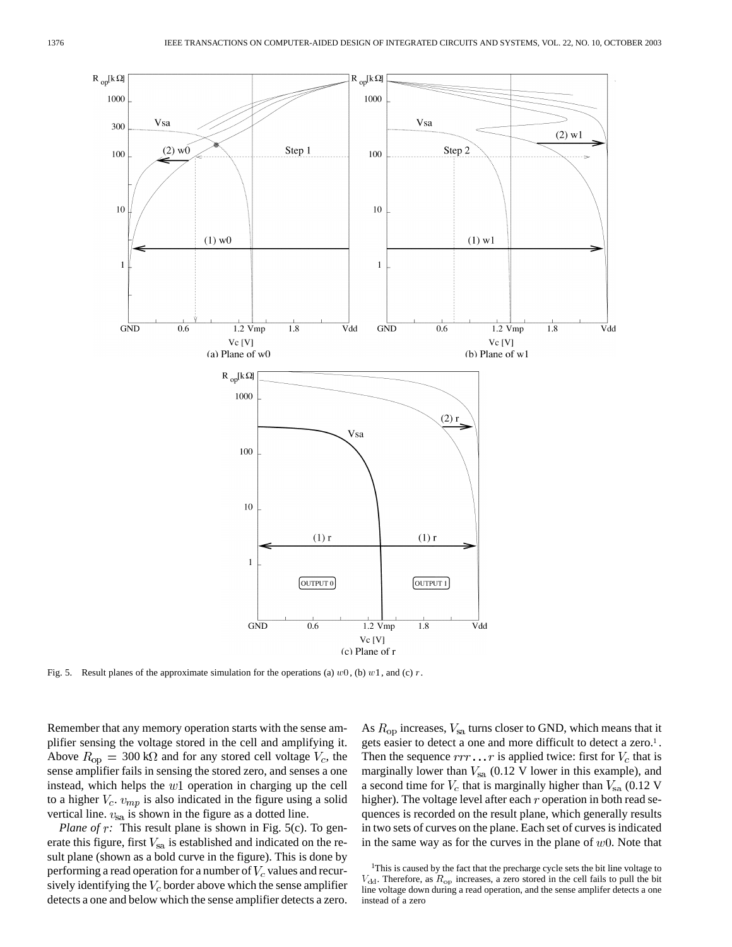

Fig. 5. Result planes of the approximate simulation for the operations (a)  $w0$ , (b)  $w1$ , and (c) r.

Remember that any memory operation starts with the sense amplifier sensing the voltage stored in the cell and amplifying it. Above  $R_{\rm op} = 300 \,\text{k}\Omega$  and for any stored cell voltage  $V_c$ , the sense amplifier fails in sensing the stored zero, and senses a one instead, which helps the  $w1$  operation in charging up the cell to a higher  $V_c$ .  $v_{mp}$  is also indicated in the figure using a solid vertical line.  $v_{sa}$  is shown in the figure as a dotted line.

*Plane of r:* This result plane is shown in Fig. 5(c). To generate this figure, first  $V_{sa}$  is established and indicated on the result plane (shown as a bold curve in the figure). This is done by performing a read operation for a number of  $V_c$  values and recursively identifying the  $V_c$  border above which the sense amplifier detects a one and below which the sense amplifier detects a zero. As  $R_{\text{op}}$  increases,  $V_{\text{sa}}$  turns closer to GND, which means that it gets easier to detect a one and more difficult to detect a zero.<sup>1</sup>. Then the sequence  $rrr \dots r$  is applied twice: first for  $V_c$  that is marginally lower than  $V_{sa}$  (0.12 V lower in this example), and a second time for  $V_c$  that is marginally higher than  $V_{sa}$  (0.12 V higher). The voltage level after each  $r$  operation in both read sequences is recorded on the result plane, which generally results in two sets of curves on the plane. Each set of curves is indicated in the same way as for the curves in the plane of  $w0$ . Note that

<sup>1</sup>This is caused by the fact that the precharge cycle sets the bit line voltage to  $V_{\rm dd}$ . Therefore, as  $R_{\rm op}$  increases, a zero stored in the cell fails to pull the bit line voltage down during a read operation, and the sense amplifer detects a one instead of a zero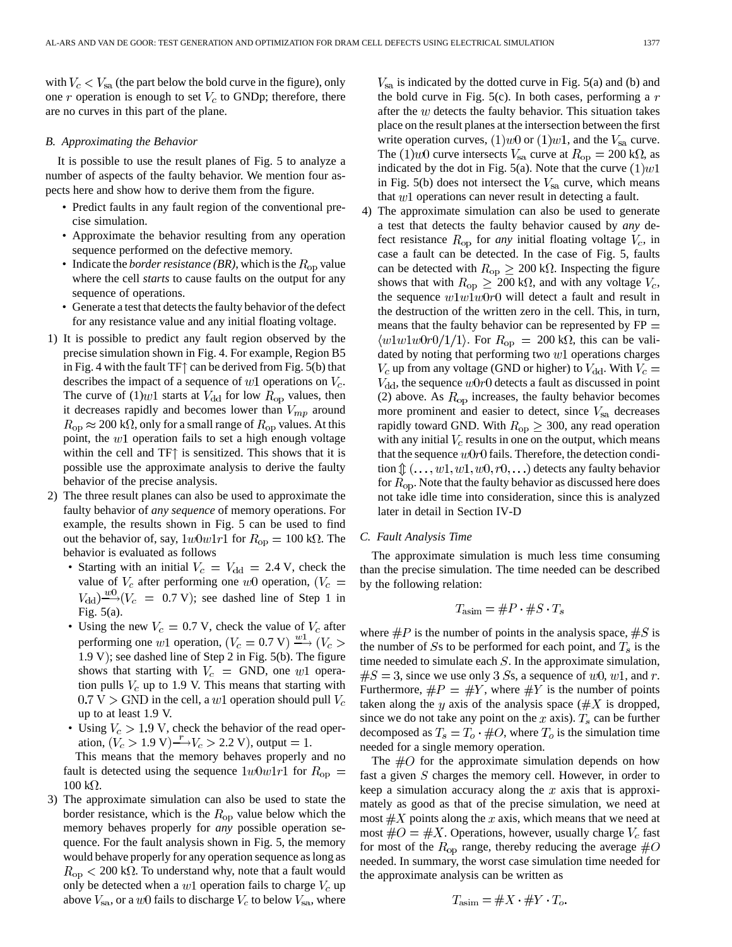with  $V_c < V_{sa}$  (the part below the bold curve in the figure), only one  $r$  operation is enough to set  $V_c$  to GNDp; therefore, there are no curves in this part of the plane.

# *B. Approximating the Behavior*

It is possible to use the result planes of Fig. 5 to analyze a number of aspects of the faulty behavior. We mention four aspects here and show how to derive them from the figure.

- Predict faults in any fault region of the conventional precise simulation.
- Approximate the behavior resulting from any operation sequence performed on the defective memory.
- Indicate the *border resistance* (*BR*), which is the  $R_{op}$  value where the cell *starts* to cause faults on the output for any sequence of operations.
- Generate a test that detects the faulty behavior of the defect for any resistance value and any initial floating voltage.
- 1) It is possible to predict any fault region observed by the precise simulation shown in Fig. 4. For example, Region B5 in Fig. 4 with the fault TF $\uparrow$  can be derived from Fig. 5(b) that describes the impact of a sequence of  $w1$  operations on  $V_c$ . The curve of  $(1)$ *w*1 starts at  $V_{dd}$  for low  $R_{op}$  values, then it decreases rapidly and becomes lower than  $V_{mp}$  around  $R_{\rm op} \approx 200 \text{ k}\Omega$ , only for a small range of  $R_{\rm op}$  values. At this point, the  $w1$  operation fails to set a high enough voltage within the cell and  $TF\uparrow$  is sensitized. This shows that it is possible use the approximate analysis to derive the faulty behavior of the precise analysis.
- 2) The three result planes can also be used to approximate the faulty behavior of *any sequence* of memory operations. For example, the results shown in Fig. 5 can be used to find out the behavior of, say,  $1w0w1r1$  for  $R_{op} = 100 \text{ k}\Omega$ . The behavior is evaluated as follows
	- Starting with an initial  $V_c = V_{dd} = 2.4$  V, check the value of  $V_c$  after performing one w0 operation,  $(V_c =$  $V_{\rm dd} \rightarrow W \rightarrow (V_c = 0.7 \text{ V})$ ; see dashed line of Step 1 in Fig. 5(a).
	- Using the new  $V_c = 0.7$  V, check the value of  $V_c$  after performing one w1 operation,  $(V_c = 0.7 \text{ V}) \xrightarrow{w_1} (V_c >$ 1.9 V); see dashed line of Step 2 in Fig. 5(b). The figure shows that starting with  $V_c$  = GND, one w1 operation pulls  $V_c$  up to 1.9 V. This means that starting with  $0.7 V >$  GND in the cell, a w1 operation should pull  $V_c$ up to at least 1.9 V.
	- Using  $V_c > 1.9$  V, check the behavior of the read operation,  $(V_c > 1.9 \text{ V}) \xrightarrow{r} V_c > 2.2 \text{ V}$ , output = 1.

This means that the memory behaves properly and no fault is detected using the sequence  $1w0w1r1$  for  $R_{\text{op}} =$  $100 \text{ k}\Omega$ .

3) The approximate simulation can also be used to state the border resistance, which is the  $R_{op}$  value below which the memory behaves properly for *any* possible operation sequence. For the fault analysis shown in Fig. 5, the memory would behave properly for any operation sequence as long as  $R_{\rm op}$   $< 200$  k $\Omega$ . To understand why, note that a fault would only be detected when a  $w1$  operation fails to charge  $V_c$  up above  $V_{\rm sa}$ , or a  $w0$  fails to discharge  $V_c$  to below  $V_{\rm sa}$ , where  $V_{sa}$  is indicated by the dotted curve in Fig. 5(a) and (b) and the bold curve in Fig. 5(c). In both cases, performing a  $r$ after the  $w$  detects the faulty behavior. This situation takes place on the result planes at the intersection between the first write operation curves,  $(1)w0$  or  $(1)w1$ , and the  $V_{sa}$  curve. The (1)*w*0 curve intersects  $V_{\text{sa}}$  curve at  $R_{\text{op}} = 200 \text{ k}\Omega$ , as indicated by the dot in Fig. 5(a). Note that the curve  $(1)w1$ in Fig.  $5(b)$  does not intersect the  $V_{sa}$  curve, which means that  $w1$  operations can never result in detecting a fault.

4) The approximate simulation can also be used to generate a test that detects the faulty behavior caused by *any* defect resistance  $R_{op}$  for *any* initial floating voltage  $V_c$ , in case a fault can be detected. In the case of Fig. 5, faults can be detected with  $R_{op} \geq 200 \text{ k}\Omega$ . Inspecting the figure shows that with  $R_{op} \geq 200 \text{ k}\Omega$ , and with any voltage  $V_c$ , the sequence  $w1w1w0r0$  will detect a fault and result in the destruction of the written zero in the cell. This, in turn, means that the faulty behavior can be represented by  $FP =$  $\langle w1w1w0r0/1/1 \rangle$ . For  $R_{\text{op}} = 200 \text{ k}\Omega$ , this can be validated by noting that performing two  $w1$  operations charges  $V_c$  up from any voltage (GND or higher) to  $V_{dd}$ . With  $V_c =$  $V_{\rm dd}$ , the sequence  $w0r0$  detects a fault as discussed in point (2) above. As  $R_{op}$  increases, the faulty behavior becomes more prominent and easier to detect, since  $V_{sa}$  decreases rapidly toward GND. With  $R_{op} \geq 300$ , any read operation with any initial  $V_c$  results in one on the output, which means that the sequence  $w0r0$  fails. Therefore, the detection condition  $\mathcal{D}(\ldots, w_1, w_1, w_0, r_0, \ldots)$  detects any faulty behavior for  $R_{\rm op}$ . Note that the faulty behavior as discussed here does not take idle time into consideration, since this is analyzed later in detail in Section IV-D

#### *C. Fault Analysis Time*

The approximate simulation is much less time consuming than the precise simulation. The time needed can be described by the following relation:

$$
T_{\text{asim}} = \#P \cdot \#S \cdot T_s
$$

where  $\#P$  is the number of points in the analysis space,  $\#S$  is the number of Ss to be performed for each point, and  $T_s$  is the time needed to simulate each  $S$ . In the approximate simulation,  $\#S = 3$ , since we use only 3 Ss, a sequence of  $w0$ ,  $w1$ , and r. Furthermore,  $\#P = \#Y$ , where  $\#Y$  is the number of points taken along the y axis of the analysis space ( $\#X$  is dropped, since we do not take any point on the x axis).  $T_s$  can be further decomposed as  $T_s = T_o \cdot #O$ , where  $T_o$  is the simulation time needed for a single memory operation.

The  $\#O$  for the approximate simulation depends on how fast a given  $S$  charges the memory cell. However, in order to keep a simulation accuracy along the  $x$  axis that is approximately as good as that of the precise simulation, we need at most  $\#X$  points along the x axis, which means that we need at most  $\#O = \#X$ . Operations, however, usually charge  $V_c$  fast for most of the  $R_{op}$  range, thereby reducing the average  $\#O$ needed. In summary, the worst case simulation time needed for the approximate analysis can be written as

$$
T_{\text{asim}} = \#X \cdot \#Y \cdot T_o
$$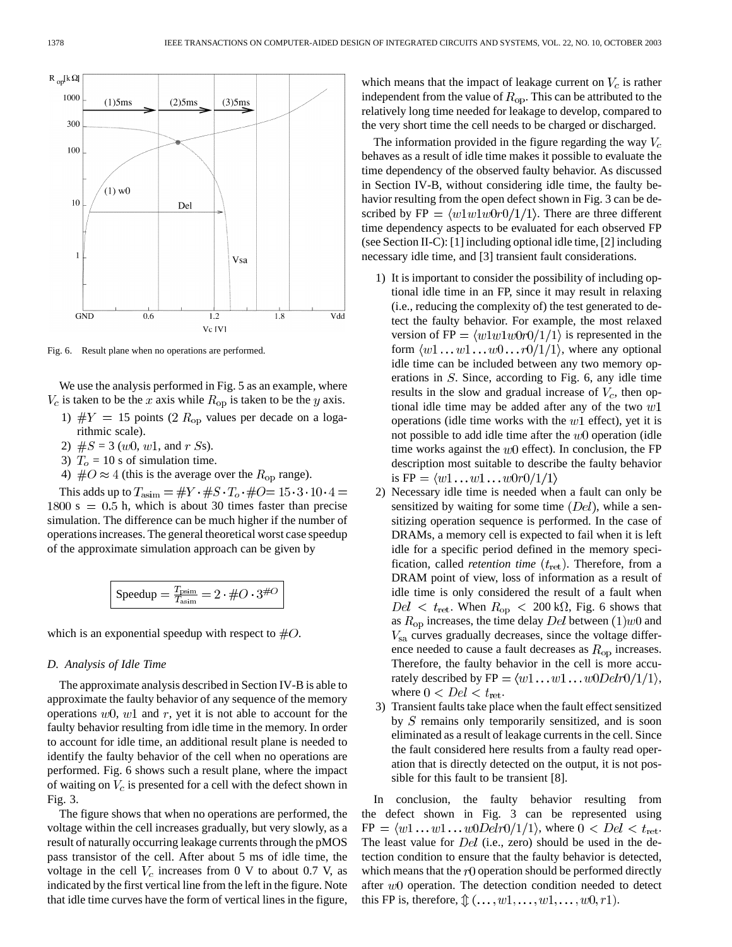

Fig. 6. Result plane when no operations are performed.

We use the analysis performed in Fig. 5 as an example, where  $V_c$  is taken to be the x axis while  $R_{op}$  is taken to be the y axis.

- 1)  $\#Y = 15$  points (2  $R_{op}$  values per decade on a logarithmic scale).
- 2)  $#S = 3$  (*w*0, *w*1, and *r Ss*).
- 3)  $T<sub>o</sub> = 10$  s of simulation time.
- 4)  $\#O \approx 4$  (this is the average over the  $R_{op}$  range).

This adds up to  $T_{\text{asim}} = \#Y \cdot \#S \cdot T_o \cdot \#O = 15 \cdot 3 \cdot 10 \cdot 4 =$  $1800 s = 0.5 h$ , which is about 30 times faster than precise simulation. The difference can be much higher if the number of operations increases. The general theoretical worst case speedup of the approximate simulation approach can be given by

$$
\boxed{\text{Speedup} = \frac{T_{\text{psim}}}{T_{\text{asim}}} = 2 \cdot \#O \cdot 3^{\#O}}
$$

which is an exponential speedup with respect to  $\#O$ .

# *D. Analysis of Idle Time*

The approximate analysis described in Section IV-B is able to approximate the faulty behavior of any sequence of the memory operations  $w_0$ ,  $w_1$  and r, yet it is not able to account for the faulty behavior resulting from idle time in the memory. In order to account for idle time, an additional result plane is needed to identify the faulty behavior of the cell when no operations are performed. Fig. 6 shows such a result plane, where the impact of waiting on  $V_c$  is presented for a cell with the defect shown in Fig. 3.

The figure shows that when no operations are performed, the voltage within the cell increases gradually, but very slowly, as a result of naturally occurring leakage currents through the pMOS pass transistor of the cell. After about 5 ms of idle time, the voltage in the cell  $V_c$  increases from 0 V to about 0.7 V, as indicated by the first vertical line from the left in the figure. Note that idle time curves have the form of vertical lines in the figure, which means that the impact of leakage current on  $V_c$  is rather independent from the value of  $R_{op}$ . This can be attributed to the relatively long time needed for leakage to develop, compared to the very short time the cell needs to be charged or discharged.

The information provided in the figure regarding the way  $V_c$ behaves as a result of idle time makes it possible to evaluate the time dependency of the observed faulty behavior. As discussed in Section IV-B, without considering idle time, the faulty behavior resulting from the open defect shown in Fig. 3 can be described by FP =  $\langle w1w1w0r0/1/1 \rangle$ . There are three different time dependency aspects to be evaluated for each observed FP (see Section II-C): [1] including optional idle time, [2] including necessary idle time, and [3] transient fault considerations.

- 1) It is important to consider the possibility of including optional idle time in an FP, since it may result in relaxing (i.e., reducing the complexity of) the test generated to detect the faulty behavior. For example, the most relaxed version of FP =  $\langle w1w1w0r0/1/1 \rangle$  is represented in the form  $\langle w1 \dots w1 \dots w0 \dots r0/1/1 \rangle$ , where any optional idle time can be included between any two memory operations in  $S$ . Since, according to Fig. 6, any idle time results in the slow and gradual increase of  $V_c$ , then optional idle time may be added after any of the two  $w1$ operations (idle time works with the  $w1$  effect), yet it is not possible to add idle time after the  $w0$  operation (idle time works against the  $w0$  effect). In conclusion, the FP description most suitable to describe the faulty behavior is  $FP = \langle w1 \dots w1 \dots w0r0/1/1 \rangle$
- 2) Necessary idle time is needed when a fault can only be sensitized by waiting for some time  $(Del)$ , while a sensitizing operation sequence is performed. In the case of DRAMs, a memory cell is expected to fail when it is left idle for a specific period defined in the memory specification, called *retention time*  $(t_{\text{ret}})$ . Therefore, from a DRAM point of view, loss of information as a result of idle time is only considered the result of a fault when  $Del < t_{\text{ret}}$ . When  $R_{\text{op}} < 200 \text{ k}\Omega$ , Fig. 6 shows that as  $R_{op}$  increases, the time delay Del between  $(1)$  w $0$  and  $V_{\rm sa}$  curves gradually decreases, since the voltage difference needed to cause a fault decreases as  $R_{op}$  increases. Therefore, the faulty behavior in the cell is more accurately described by  $FP = \langle w1 \dots w1 \dots w0Delr0/1/1 \rangle$ , where  $0 < Del < t_{\text{ret}}$ .
- 3) Transient faults take place when the fault effect sensitized by  $S$  remains only temporarily sensitized, and is soon eliminated as a result of leakage currents in the cell. Since the fault considered here results from a faulty read operation that is directly detected on the output, it is not possible for this fault to be transient [8].

In conclusion, the faulty behavior resulting from the defect shown in Fig. 3 can be represented using  $FP = \langle w1 \dots w1 \dots w0Delr0/1/1 \rangle$ , where  $0 < Del < t_{\text{ret}}$ . The least value for  $Del$  (i.e., zero) should be used in the detection condition to ensure that the faulty behavior is detected, which means that the  $r0$  operation should be performed directly after  $w0$  operation. The detection condition needed to detect this FP is, therefore,  $\mathcal{D}(\ldots, w_1, \ldots, w_1, \ldots, w_0, r_1)$ .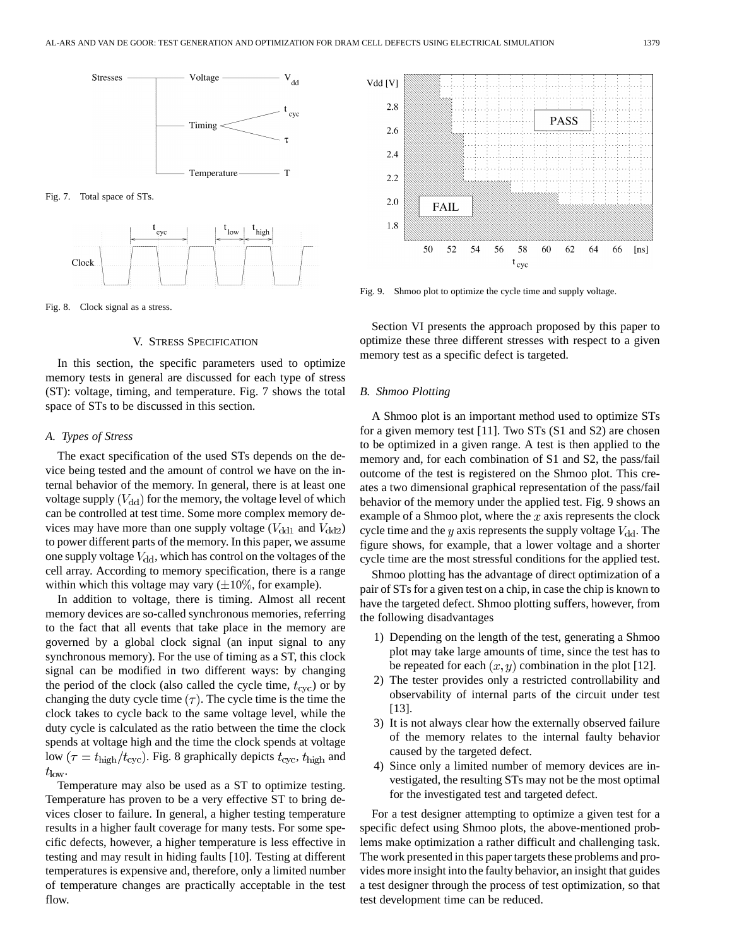

Fig. 7. Total space of STs.



Fig. 8. Clock signal as a stress.

# V. STRESS SPECIFICATION

In this section, the specific parameters used to optimize memory tests in general are discussed for each type of stress (ST): voltage, timing, and temperature. Fig. 7 shows the total space of STs to be discussed in this section.

#### *A. Types of Stress*

The exact specification of the used STs depends on the device being tested and the amount of control we have on the internal behavior of the memory. In general, there is at least one voltage supply  $(V_{dd})$  for the memory, the voltage level of which can be controlled at test time. Some more complex memory devices may have more than one supply voltage ( $V_{dd1}$  and  $V_{dd2}$ ) to power different parts of the memory. In this paper, we assume one supply voltage  $V_{dd}$ , which has control on the voltages of the cell array. According to memory specification, there is a range within which this voltage may vary  $(\pm 10\%$ , for example).

In addition to voltage, there is timing. Almost all recent memory devices are so-called synchronous memories, referring to the fact that all events that take place in the memory are governed by a global clock signal (an input signal to any synchronous memory). For the use of timing as a ST, this clock signal can be modified in two different ways: by changing the period of the clock (also called the cycle time,  $t_{\rm cyc}$ ) or by changing the duty cycle time  $(\tau)$ . The cycle time is the time the clock takes to cycle back to the same voltage level, while the duty cycle is calculated as the ratio between the time the clock spends at voltage high and the time the clock spends at voltage low ( $\tau = t_{\text{high}}/t_{\text{cyc}}$ ). Fig. 8 graphically depicts  $t_{\text{cyc}}$ ,  $t_{\text{high}}$  and  $t_{\text{low}}$ .

Temperature may also be used as a ST to optimize testing. Temperature has proven to be a very effective ST to bring devices closer to failure. In general, a higher testing temperature results in a higher fault coverage for many tests. For some specific defects, however, a higher temperature is less effective in testing and may result in hiding faults [10]. Testing at different temperatures is expensive and, therefore, only a limited number of temperature changes are practically acceptable in the test flow.



Fig. 9. Shmoo plot to optimize the cycle time and supply voltage.

Section VI presents the approach proposed by this paper to optimize these three different stresses with respect to a given memory test as a specific defect is targeted.

#### *B. Shmoo Plotting*

A Shmoo plot is an important method used to optimize STs for a given memory test [11]. Two STs (S1 and S2) are chosen to be optimized in a given range. A test is then applied to the memory and, for each combination of S1 and S2, the pass/fail outcome of the test is registered on the Shmoo plot. This creates a two dimensional graphical representation of the pass/fail behavior of the memory under the applied test. Fig. 9 shows an example of a Shmoo plot, where the  $x$  axis represents the clock cycle time and the  $y$  axis represents the supply voltage  $V_{\rm dd}$ . The figure shows, for example, that a lower voltage and a shorter cycle time are the most stressful conditions for the applied test.

Shmoo plotting has the advantage of direct optimization of a pair of STs for a given test on a chip, in case the chip is known to have the targeted defect. Shmoo plotting suffers, however, from the following disadvantages

- 1) Depending on the length of the test, generating a Shmoo plot may take large amounts of time, since the test has to be repeated for each  $(x, y)$  combination in the plot [12].
- 2) The tester provides only a restricted controllability and observability of internal parts of the circuit under test [13].
- 3) It is not always clear how the externally observed failure of the memory relates to the internal faulty behavior caused by the targeted defect.
- 4) Since only a limited number of memory devices are investigated, the resulting STs may not be the most optimal for the investigated test and targeted defect.

For a test designer attempting to optimize a given test for a specific defect using Shmoo plots, the above-mentioned problems make optimization a rather difficult and challenging task. The work presented in this paper targets these problems and provides more insight into the faulty behavior, an insight that guides a test designer through the process of test optimization, so that test development time can be reduced.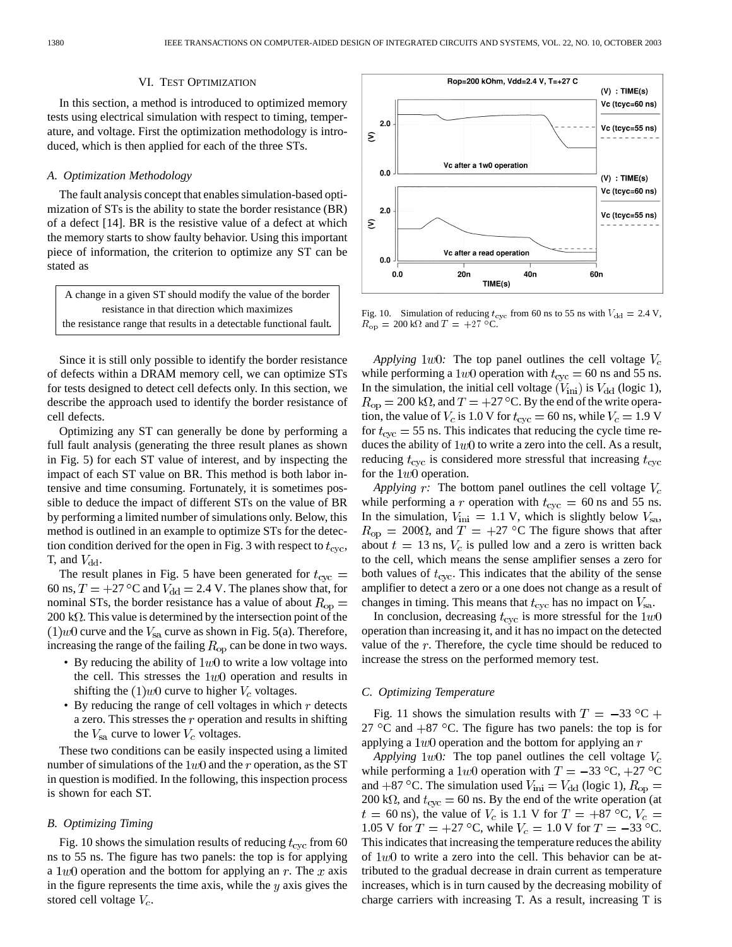#### VI. TEST OPTIMIZATION

In this section, a method is introduced to optimized memory tests using electrical simulation with respect to timing, temperature, and voltage. First the optimization methodology is introduced, which is then applied for each of the three STs.

# *A. Optimization Methodology*

The fault analysis concept that enables simulation-based optimization of STs is the ability to state the border resistance (BR) of a defect [14]. BR is the resistive value of a defect at which the memory starts to show faulty behavior. Using this important piece of information, the criterion to optimize any ST can be stated as

A change in a given ST should modify the value of the border resistance in that direction which maximizes the resistance range that results in a detectable functional fault:

Since it is still only possible to identify the border resistance of defects within a DRAM memory cell, we can optimize STs for tests designed to detect cell defects only. In this section, we describe the approach used to identify the border resistance of cell defects.

Optimizing any ST can generally be done by performing a full fault analysis (generating the three result planes as shown in Fig. 5) for each ST value of interest, and by inspecting the impact of each ST value on BR. This method is both labor intensive and time consuming. Fortunately, it is sometimes possible to deduce the impact of different STs on the value of BR by performing a limited number of simulations only. Below, this method is outlined in an example to optimize STs for the detection condition derived for the open in Fig. 3 with respect to  $t_{\rm cyc}$ , T, and  $V_{\rm dd}$ .

The result planes in Fig. 5 have been generated for  $t_{\rm cyc} =$ 60 ns,  $T = +27$  °C and  $V_{dd} = 2.4$  V. The planes show that, for nominal STs, the border resistance has a value of about  $R_{op}$  =  $200 \text{ k}\Omega$ . This value is determined by the intersection point of the  $(1)$ *w*0 curve and the  $V_{sa}$  curve as shown in Fig. 5(a). Therefore, increasing the range of the failing  $R_{op}$  can be done in two ways.

- By reducing the ability of  $1w0$  to write a low voltage into the cell. This stresses the  $1w0$  operation and results in shifting the  $(1)$ *w* $0$  curve to higher  $V_c$  voltages.
- By reducing the range of cell voltages in which  $r$  detects a zero. This stresses the  $r$  operation and results in shifting the  $V_{\rm sa}$  curve to lower  $V_c$  voltages.

These two conditions can be easily inspected using a limited number of simulations of the  $1w0$  and the r operation, as the ST in question is modified. In the following, this inspection process is shown for each ST.

#### *B. Optimizing Timing*

Fig. 10 shows the simulation results of reducing  $t_{\rm cyc}$  from 60 ns to 55 ns. The figure has two panels: the top is for applying a  $1w0$  operation and the bottom for applying an r. The x axis in the figure represents the time axis, while the  $y$  axis gives the stored cell voltage  $V_c$ .



Fig. 10. Simulation of reducing  $t_{\text{cyc}}$  from 60 ns to 55 ns with  $V_{\text{dd}} = 2.4 \text{ V}$ ,  $R_{\rm op} = 200 \text{ k}\Omega$  and  $T = +27 \text{ °C}$ .

*Applying* 1*w*0: The top panel outlines the cell voltage  $V_c$ while performing a 1w0 operation with  $t_{\rm cyc} = 60$  ns and 55 ns. In the simulation, the initial cell voltage  $(V_{\text{ini}})$  is  $V_{\text{dd}}$  (logic 1),  $R_{op} = 200 \text{ k}\Omega$ , and  $T = +27 \text{ °C}$ . By the end of the write operation, the value of  $V_c$  is 1.0 V for  $t_{\rm cyc} = 60$  ns, while  $V_c = 1.9$  V for  $t_{\rm cyc} = 55$  ns. This indicates that reducing the cycle time reduces the ability of  $1w0$  to write a zero into the cell. As a result, reducing  $t_{\rm cyc}$  is considered more stressful that increasing  $t_{\rm cyc}$ for the  $1w0$  operation.

*Applying*  $r$ : The bottom panel outlines the cell voltage  $V_c$ while performing a r operation with  $t_{\text{cyc}} = 60$  ns and 55 ns. In the simulation,  $V_{\text{ini}} = 1.1$  V, which is slightly below  $V_{\text{sa}}$ ,  $R_{\text{op}} = 200\Omega$ , and  $T = +27$  °C The figure shows that after about  $t = 13$  ns,  $V_c$  is pulled low and a zero is written back to the cell, which means the sense amplifier senses a zero for both values of  $t_{\rm cyc}$ . This indicates that the ability of the sense amplifier to detect a zero or a one does not change as a result of changes in timing. This means that  $t_{\rm cyc}$  has no impact on  $V_{\rm sa}$ .

In conclusion, decreasing  $t_{\text{cyc}}$  is more stressful for the  $1w0$ operation than increasing it, and it has no impact on the detected value of the  $r$ . Therefore, the cycle time should be reduced to increase the stress on the performed memory test.

#### *C. Optimizing Temperature*

Fig. 11 shows the simulation results with  $T = -33 \degree C +$ 27 °C and  $+87$  °C. The figure has two panels: the top is for applying a  $1w0$  operation and the bottom for applying an  $r$ 

*Applying*  $1w0$ : The top panel outlines the cell voltage  $V_c$ while performing a 1w0 operation with  $T = -33 \text{ °C}, +27 \text{ °C}$ and +87 °C. The simulation used  $V_{\text{ini}} = V_{\text{dd}}$  (logic 1),  $R_{\text{op}} =$ 200 k $\Omega$ , and  $t_{\text{cyc}} = 60$  ns. By the end of the write operation (at  $t = 60$  ns), the value of  $V_c$  is 1.1 V for  $T = +87$  °C,  $V_c =$ 1.05 V for  $T = +27$  °C, while  $V_c = 1.0$  V for  $T = -33$  °C. This indicates that increasing the temperature reduces the ability of  $1w0$  to write a zero into the cell. This behavior can be attributed to the gradual decrease in drain current as temperature increases, which is in turn caused by the decreasing mobility of charge carriers with increasing T. As a result, increasing T is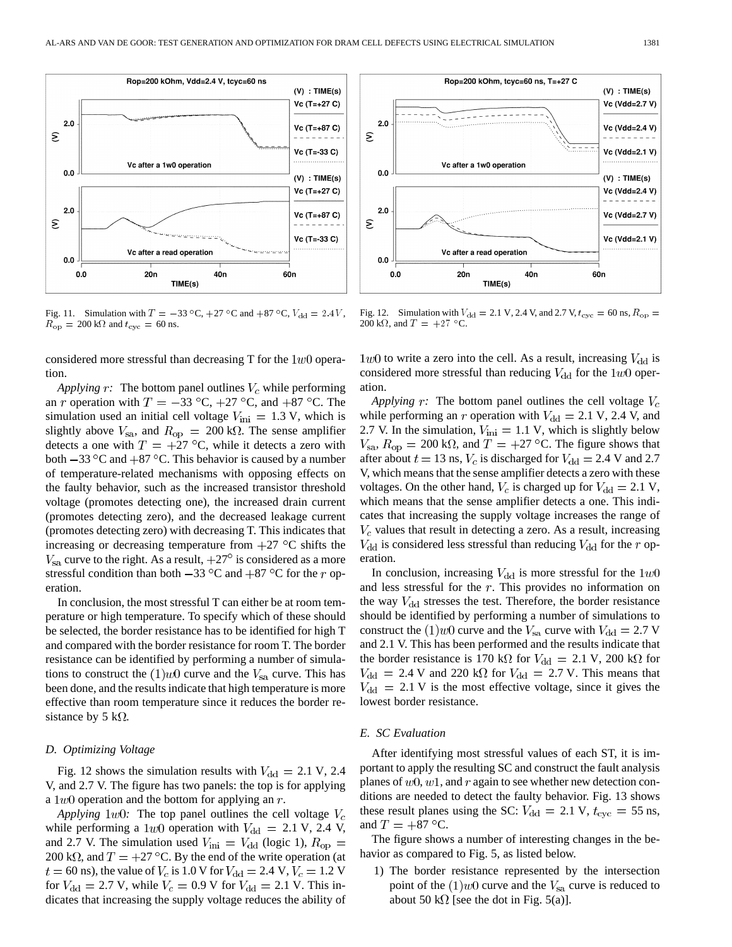

 $R_{\rm op} = 200 \text{ k}\Omega$  and  $t_{\rm cyc} = 60 \text{ ns}.$ 

considered more stressful than decreasing T for the  $1w0$  operation.

*Applying*  $r$ : The bottom panel outlines  $V_c$  while performing an r operation with  $T = -33 \text{ °C}$ ,  $+27 \text{ °C}$ , and  $+87 \text{ °C}$ . The simulation used an initial cell voltage  $V_{\text{ini}} = 1.3$  V, which is slightly above  $V_{\text{sa}}$ , and  $R_{\text{op}} = 200 \text{ k}\Omega$ . The sense amplifier detects a one with  $T = +27$  °C, while it detects a zero with both  $-33 \degree C$  and  $+87 \degree C$ . This behavior is caused by a number of temperature-related mechanisms with opposing effects on the faulty behavior, such as the increased transistor threshold voltage (promotes detecting one), the increased drain current (promotes detecting zero), and the decreased leakage current (promotes detecting zero) with decreasing T. This indicates that increasing or decreasing temperature from  $+27$  °C shifts the  $V_{\rm sa}$  curve to the right. As a result,  $+27^{\circ}$  is considered as a more stressful condition than both  $-33 \degree$ C and  $+87 \degree$ C for the r operation.

In conclusion, the most stressful T can either be at room temperature or high temperature. To specify which of these should be selected, the border resistance has to be identified for high T and compared with the border resistance for room T. The border resistance can be identified by performing a number of simulations to construct the  $(1)$ *w*O curve and the  $V_{sa}$  curve. This has been done, and the results indicate that high temperature is more effective than room temperature since it reduces the border resistance by 5 k $\Omega$ .

# *D. Optimizing Voltage*

Fig. 12 shows the simulation results with  $V_{dd} = 2.1$  V, 2.4 V, and 2.7 V. The figure has two panels: the top is for applying a  $1w0$  operation and the bottom for applying an r.

*Applying*  $1w0$ : The top panel outlines the cell voltage  $V_c$ while performing a 1w0 operation with  $V_{dd} = 2.1$  V, 2.4 V, and 2.7 V. The simulation used  $V_{\text{ini}} = V_{\text{dd}}$  (logic 1),  $R_{\text{op}} =$ 200 k $\Omega$ , and  $T = +27$  °C. By the end of the write operation (at  $t = 60$  ns), the value of  $V_c$  is 1.0 V for  $V_{dd} = 2.4$  V,  $V_c = 1.2$  V for  $V_{\text{dd}} = 2.7$  V, while  $V_c = 0.9$  V for  $V_{\text{dd}} = 2.1$  V. This indicates that increasing the supply voltage reduces the ability of



Fig. 12. Simulation with  $V_{\rm dd} = 2.1 \text{ V}$ , 2.4 V, and 2.7 V,  $t_{\rm cyc} = 60 \text{ ns}$ ,  $R_{\rm op} =$ 200 k $\Omega$ , and  $T = +27$  °C.

 $1w0$  to write a zero into the cell. As a result, increasing  $V_{\rm dd}$  is considered more stressful than reducing  $V_{\text{dd}}$  for the  $1w0$  operation.

*Applying*  $r$ : The bottom panel outlines the cell voltage  $V_c$ while performing an r operation with  $V_{dd} = 2.1$  V, 2.4 V, and 2.7 V. In the simulation,  $V_{\text{ini}} = 1.1$  V, which is slightly below  $V_{\rm sa}$ ,  $R_{\rm op} = 200 \text{ k}\Omega$ , and  $T = +27 \text{ °C}$ . The figure shows that after about  $t = 13$  ns,  $V_c$  is discharged for  $V_{\text{dd}} = 2.4$  V and 2.7 V, which means that the sense amplifier detects a zero with these voltages. On the other hand,  $V_c$  is charged up for  $V_{dd} = 2.1$  V, which means that the sense amplifier detects a one. This indicates that increasing the supply voltage increases the range of  $V_c$  values that result in detecting a zero. As a result, increasing  $V_{\rm dd}$  is considered less stressful than reducing  $V_{\rm dd}$  for the r operation

In conclusion, increasing  $V_{dd}$  is more stressful for the  $1w0$ and less stressful for the  $r$ . This provides no information on the way  $V_{\rm dd}$  stresses the test. Therefore, the border resistance should be identified by performing a number of simulations to construct the  $(1)$ *w*O curve and the  $V_{\text{sa}}$  curve with  $V_{\text{dd}} = 2.7$  V and 2.1 V. This has been performed and the results indicate that the border resistance is 170 k $\Omega$  for  $V_{\rm dd} = 2.1$  V, 200 k $\Omega$  for  $V_{\rm dd} = 2.4$  V and 220 k $\Omega$  for  $V_{\rm dd} = 2.7$  V. This means that  $V_{\rm dd} = 2.1$  V is the most effective voltage, since it gives the lowest border resistance.

# *E. SC Evaluation*

After identifying most stressful values of each ST, it is important to apply the resulting SC and construct the fault analysis planes of  $w0$ ,  $w1$ , and r again to see whether new detection conditions are needed to detect the faulty behavior. Fig. 13 shows these result planes using the SC:  $V_{dd} = 2.1$  V,  $t_{\rm cyc} = 55$  ns, and  $T = +87$  °C.

The figure shows a number of interesting changes in the behavior as compared to Fig. 5, as listed below.

1) The border resistance represented by the intersection point of the  $(1)$ *w*0 curve and the  $V_{sa}$  curve is reduced to about 50 k $\Omega$  [see the dot in Fig. 5(a)].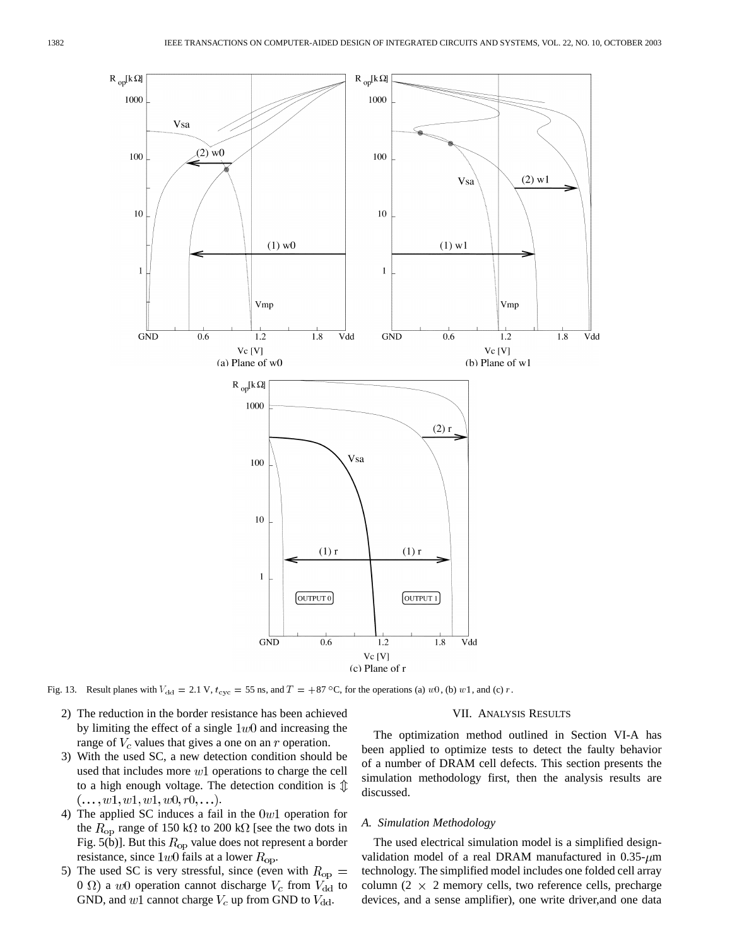

Fig. 13. Result planes with  $V_{dd} = 2.1 \text{ V}$ ,  $t_{\text{cyc}} = 55 \text{ ns}$ , and  $T = +87 \degree \text{C}$ , for the operations (a) w0, (b) w1, and (c) r.

2) The reduction in the border resistance has been achieved by limiting the effect of a single  $1w0$  and increasing the range of  $V_c$  values that gives a one on an  $r$  operation.

# 3) With the used SC, a new detection condition should be used that includes more  $w1$  operations to charge the cell to a high enough voltage. The detection condition is  $\mathcal{D}$  $(..., w1, w1, w1, w0, r0,...).$

- 4) The applied SC induces a fail in the  $0w1$  operation for the  $R_{\rm op}$  range of 150 k $\Omega$  to 200 k $\Omega$  [see the two dots in Fig. 5(b)]. But this  $R_{\rm op}$  value does not represent a border resistance, since  $1w0$  fails at a lower  $R_{op}$ .
- 5) The used SC is very stressful, since (even with  $R_{\rm op} =$ 0  $\Omega$ ) a w0 operation cannot discharge  $V_c$  from  $V_{dd}$  to GND, and  $w1$  cannot charge  $V_c$  up from GND to  $V_{dd}$ .

# VII. ANALYSIS RESULTS

The optimization method outlined in Section VI-A has been applied to optimize tests to detect the faulty behavior of a number of DRAM cell defects. This section presents the simulation methodology first, then the analysis results are discussed.

#### *A. Simulation Methodology*

The used electrical simulation model is a simplified designvalidation model of a real DRAM manufactured in  $0.35 - \mu m$ technology. The simplified model includes one folded cell array column (2  $\times$  2 memory cells, two reference cells, precharge devices, and a sense amplifier), one write driver,and one data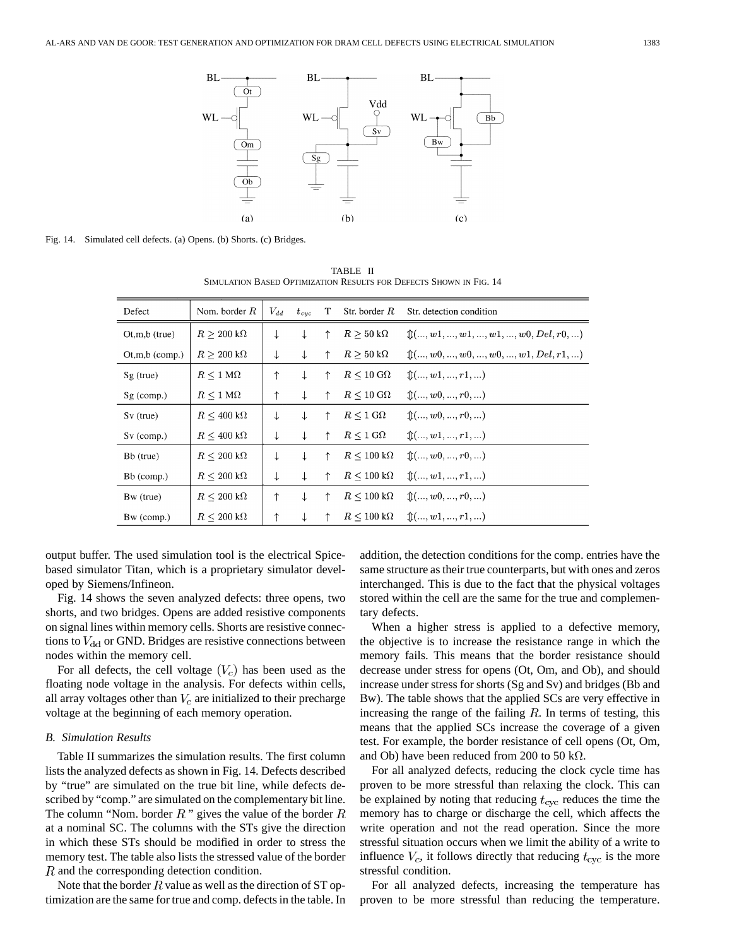

Fig. 14. Simulated cell defects. (a) Opens. (b) Shorts. (c) Bridges.

| Defect            | Nom. border $R$               | $V_{dd}$ | $t_{cyc}$    | T.         | Str. border $R$               | Str. detection condition                                                            |
|-------------------|-------------------------------|----------|--------------|------------|-------------------------------|-------------------------------------------------------------------------------------|
| $Ot, m, b$ (true) | $R > 200 \text{ k}\Omega$     | ↓        | ↓            | ↑          | $R > 50 \text{ k}\Omega$      | $\mathcal{L}(\ldots, w_1, \ldots, w_1, \ldots, w_1, \ldots, w_0, Del, r_0, \ldots)$ |
| $O(t,m,b$ (comp.) | $R \geq 200~\text{k}\Omega$   | ↓        | $\downarrow$ | ↑          | $R > 50 \text{ k}\Omega$      | $\mathcal{L}(\ldots, w_0, \ldots, w_0, \ldots, w_0, \ldots, w_1, Del, r_1, \ldots)$ |
| $Sg$ (true)       | $R \leq 1 \,\mathrm{M}\Omega$ | ↑        | ↓            | ↑          | $R \leq 10 \text{ G}\Omega$   | $\mathbb{R}$ (, w1, , r1, )                                                         |
| $Sg$ (comp.)      | $R \leq 1 \,\mathrm{M}\Omega$ | ↑        | $\downarrow$ | ↑          | $R \leq 10 \text{ G}\Omega$   | $\mathbb{R}$ (, $w$ 0, , $r$ 0, )                                                   |
| $Sv$ (true)       | $R \leq 400 \text{ k}\Omega$  | ↓        | ↓            | $\uparrow$ | $R \leq 1 \,\mathrm{G}\Omega$ | $\mathbb{1}(\ldots, w_0, \ldots, r_0, \ldots)$                                      |
| $Sv$ (comp.)      | $R \leq 400 \text{ k}\Omega$  | ↓        | $\downarrow$ | $\uparrow$ | $R \leq 1 \text{ G}\Omega$    | $\mathbb{t}(\ldots, w_1, \ldots, r_1, \ldots)$                                      |
| Bb (true)         | $R \leq 200 \text{ k}\Omega$  | ↓        | ↓            | ↑          | $R \leq 100 \text{ k}\Omega$  | $\mathcal{L}(\ldots, w_0, \ldots, r_0, \ldots)$                                     |
| Bb (comp.)        | $R \leq 200 \text{ k}\Omega$  | ↓        | $\downarrow$ | ↑          | $R \leq 100 \text{ k}\Omega$  | $\mathbb{R}$ (, w1, , r1, )                                                         |
| Bw (true)         | $R\leq 200\;\mathrm{k}\Omega$ | ↑        | ↓            | ↑          | $R \leq 100 \ \text{k}\Omega$ | $\mathbb{1}(\ldots, w_0, \ldots, r_0, \ldots)$                                      |
| Bw (comp.)        | $R \leq 200 \ \text{k}\Omega$ |          |              |            | $R \leq 100 \ \text{k}\Omega$ | $\mathbb{1}(\ldots, w_1, \ldots, r_1, \ldots)$                                      |

TABLE II SIMULATION BASED OPTIMIZATION RESULTS FOR DEFECTS SHOWN IN FIG. 14

output buffer. The used simulation tool is the electrical Spicebased simulator Titan, which is a proprietary simulator developed by Siemens/Infineon.

Fig. 14 shows the seven analyzed defects: three opens, two shorts, and two bridges. Opens are added resistive components on signal lines within memory cells. Shorts are resistive connections to  $V_{\rm dd}$  or GND. Bridges are resistive connections between nodes within the memory cell.

For all defects, the cell voltage  $(V_c)$  has been used as the floating node voltage in the analysis. For defects within cells, all array voltages other than  $V_c$  are initialized to their precharge voltage at the beginning of each memory operation.

#### *B. Simulation Results*

Table II summarizes the simulation results. The first column lists the analyzed defects as shown in Fig. 14. Defects described by "true" are simulated on the true bit line, while defects described by "comp." are simulated on the complementary bit line. The column "Nom. border  $R$ " gives the value of the border  $R$ at a nominal SC. The columns with the STs give the direction in which these STs should be modified in order to stress the memory test. The table also lists the stressed value of the border R and the corresponding detection condition.

Note that the border  $R$  value as well as the direction of ST optimization are the same for true and comp. defects in the table. In addition, the detection conditions for the comp. entries have the same structure as their true counterparts, but with ones and zeros interchanged. This is due to the fact that the physical voltages stored within the cell are the same for the true and complementary defects.

When a higher stress is applied to a defective memory, the objective is to increase the resistance range in which the memory fails. This means that the border resistance should decrease under stress for opens (Ot, Om, and Ob), and should increase under stress for shorts (Sg and Sv) and bridges (Bb and Bw). The table shows that the applied SCs are very effective in increasing the range of the failing  $R$ . In terms of testing, this means that the applied SCs increase the coverage of a given test. For example, the border resistance of cell opens (Ot, Om, and Ob) have been reduced from 200 to 50 k $\Omega$ .

For all analyzed defects, reducing the clock cycle time has proven to be more stressful than relaxing the clock. This can be explained by noting that reducing  $t_{\text{cyc}}$  reduces the time the memory has to charge or discharge the cell, which affects the write operation and not the read operation. Since the more stressful situation occurs when we limit the ability of a write to influence  $V_c$ , it follows directly that reducing  $t_{\rm cyc}$  is the more stressful condition.

For all analyzed defects, increasing the temperature has proven to be more stressful than reducing the temperature.